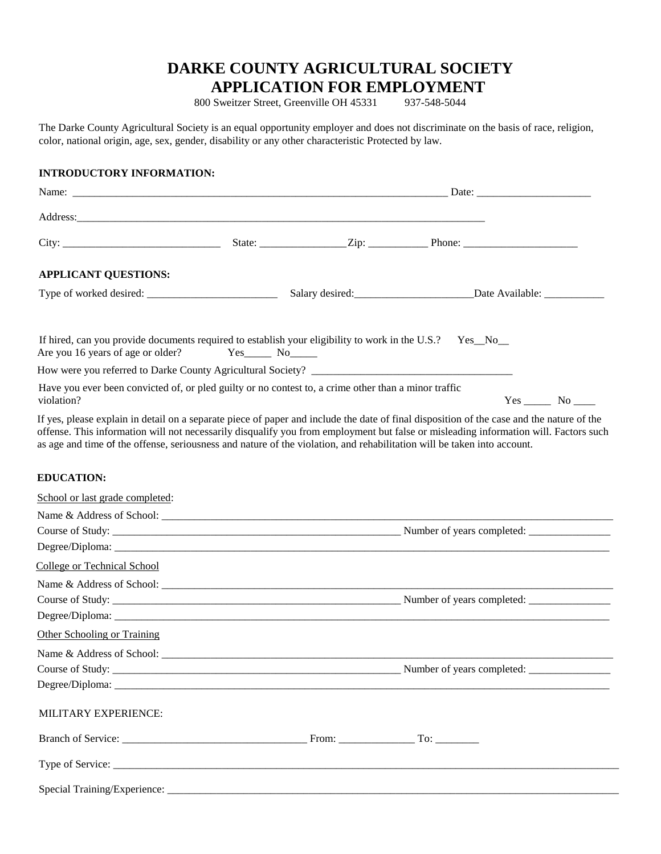## **DARKE COUNTY AGRICULTURAL SOCIETY**

**APPLICATION FOR EMPLOYMENT**<br>
SWEITER Street, Greenville OH 45331 937-548-5044 800 Sweitzer Street, Greenville OH 45331

The Darke County Agricultural Society is an equal opportunity employer and does not discriminate on the basis of race, religion, color, national origin, age, sex, gender, disability or any other characteristic Protected by law.

## **INTRODUCTORY INFORMATION:**

| <b>APPLICANT QUESTIONS:</b>                                                                                                                                                                                                                                                                                                                                                                                  |               |                                                                                  |  |        |  |
|--------------------------------------------------------------------------------------------------------------------------------------------------------------------------------------------------------------------------------------------------------------------------------------------------------------------------------------------------------------------------------------------------------------|---------------|----------------------------------------------------------------------------------|--|--------|--|
|                                                                                                                                                                                                                                                                                                                                                                                                              |               | Salary desired: _____________________________Date Available: ___________________ |  |        |  |
| If hired, can you provide documents required to establish your eligibility to work in the U.S.?<br>Are you 16 years of age or older?                                                                                                                                                                                                                                                                         | $Yes$ No $No$ |                                                                                  |  | Yes No |  |
|                                                                                                                                                                                                                                                                                                                                                                                                              |               |                                                                                  |  |        |  |
| Have you ever been convicted of, or pled guilty or no contest to, a crime other than a minor traffic<br>violation?                                                                                                                                                                                                                                                                                           |               |                                                                                  |  |        |  |
| If yes, please explain in detail on a separate piece of paper and include the date of final disposition of the case and the nature of the<br>offense. This information will not necessarily disqualify you from employment but false or misleading information will. Factors such<br>as age and time of the offense, seriousness and nature of the violation, and rehabilitation will be taken into account. |               |                                                                                  |  |        |  |
| <b>EDUCATION:</b>                                                                                                                                                                                                                                                                                                                                                                                            |               |                                                                                  |  |        |  |
| School or last grade completed:                                                                                                                                                                                                                                                                                                                                                                              |               |                                                                                  |  |        |  |
|                                                                                                                                                                                                                                                                                                                                                                                                              |               |                                                                                  |  |        |  |
|                                                                                                                                                                                                                                                                                                                                                                                                              |               |                                                                                  |  |        |  |
|                                                                                                                                                                                                                                                                                                                                                                                                              |               |                                                                                  |  |        |  |
| <b>College or Technical School</b>                                                                                                                                                                                                                                                                                                                                                                           |               |                                                                                  |  |        |  |
|                                                                                                                                                                                                                                                                                                                                                                                                              |               |                                                                                  |  |        |  |
|                                                                                                                                                                                                                                                                                                                                                                                                              |               |                                                                                  |  |        |  |
|                                                                                                                                                                                                                                                                                                                                                                                                              |               |                                                                                  |  |        |  |
| Other Schooling or Training                                                                                                                                                                                                                                                                                                                                                                                  |               |                                                                                  |  |        |  |
|                                                                                                                                                                                                                                                                                                                                                                                                              |               |                                                                                  |  |        |  |
|                                                                                                                                                                                                                                                                                                                                                                                                              |               |                                                                                  |  |        |  |
|                                                                                                                                                                                                                                                                                                                                                                                                              |               |                                                                                  |  |        |  |
| MILITARY EXPERIENCE:                                                                                                                                                                                                                                                                                                                                                                                         |               |                                                                                  |  |        |  |
|                                                                                                                                                                                                                                                                                                                                                                                                              |               |                                                                                  |  |        |  |
|                                                                                                                                                                                                                                                                                                                                                                                                              |               |                                                                                  |  |        |  |
|                                                                                                                                                                                                                                                                                                                                                                                                              |               |                                                                                  |  |        |  |